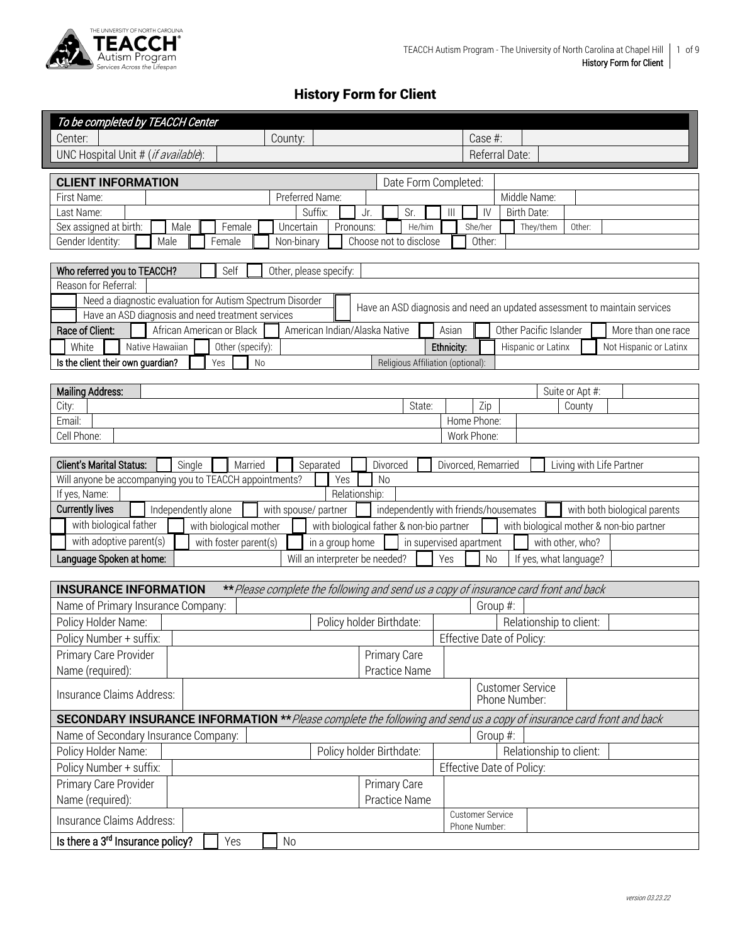

## History Form for Client

| To be completed by TEACCH Center                                                                                                 |                                          |                                       |        |            |                                  |                |                                          |                  |  |                                                                           |  |
|----------------------------------------------------------------------------------------------------------------------------------|------------------------------------------|---------------------------------------|--------|------------|----------------------------------|----------------|------------------------------------------|------------------|--|---------------------------------------------------------------------------|--|
| Center:<br>County:                                                                                                               |                                          |                                       |        |            | Case #:                          |                |                                          |                  |  |                                                                           |  |
| UNC Hospital Unit # (if available):                                                                                              |                                          |                                       |        |            |                                  | Referral Date: |                                          |                  |  |                                                                           |  |
| <b>CLIENT INFORMATION</b>                                                                                                        |                                          | Date Form Completed:                  |        |            |                                  |                |                                          |                  |  |                                                                           |  |
| First Name:<br>Preferred Name:                                                                                                   |                                          |                                       |        |            |                                  |                | Middle Name:                             |                  |  |                                                                           |  |
| Last Name:<br>Suffix:                                                                                                            | Jr.                                      | Sr.                                   |        | Ш          | IV                               |                | Birth Date:                              |                  |  |                                                                           |  |
| Sex assigned at birth:<br>Uncertain<br>Male<br>Female                                                                            | Pronouns:                                |                                       | He/him |            | She/her                          |                | They/them                                | Other:           |  |                                                                           |  |
| Non-binary<br>Gender Identity:<br>Female<br>Male                                                                                 |                                          | Choose not to disclose                |        |            | Other:                           |                |                                          |                  |  |                                                                           |  |
|                                                                                                                                  |                                          |                                       |        |            |                                  |                |                                          |                  |  |                                                                           |  |
| Self<br>Who referred you to TEACCH?<br>Other, please specify:<br>Reason for Referral:                                            |                                          |                                       |        |            |                                  |                |                                          |                  |  |                                                                           |  |
| Need a diagnostic evaluation for Autism Spectrum Disorder                                                                        |                                          |                                       |        |            |                                  |                |                                          |                  |  |                                                                           |  |
| Have an ASD diagnosis and need treatment services                                                                                |                                          |                                       |        |            |                                  |                |                                          |                  |  | Have an ASD diagnosis and need an updated assessment to maintain services |  |
| Race of Client:<br>African American or Black<br>American Indian/Alaska Native                                                    |                                          |                                       |        | Asian      |                                  |                | Other Pacific Islander                   |                  |  | More than one race                                                        |  |
| White<br>Native Hawaiian<br>Other (specify):                                                                                     |                                          |                                       |        | Ethnicity: |                                  |                | Hispanic or Latinx                       |                  |  | Not Hispanic or Latinx                                                    |  |
| Is the client their own guardian?<br>N <sub>o</sub><br>Yes                                                                       |                                          | Religious Affiliation (optional):     |        |            |                                  |                |                                          |                  |  |                                                                           |  |
|                                                                                                                                  |                                          |                                       |        |            |                                  |                |                                          |                  |  |                                                                           |  |
| <b>Mailing Address:</b>                                                                                                          |                                          |                                       |        |            |                                  |                |                                          | Suite or Apt #:  |  |                                                                           |  |
| City:                                                                                                                            |                                          |                                       | State: |            | Zip                              |                |                                          | County           |  |                                                                           |  |
| Email:<br>Cell Phone:                                                                                                            |                                          |                                       |        |            | Home Phone:<br>Work Phone:       |                |                                          |                  |  |                                                                           |  |
|                                                                                                                                  |                                          |                                       |        |            |                                  |                |                                          |                  |  |                                                                           |  |
| <b>Client's Marital Status:</b><br>Single<br>Divorced, Remarried<br>Living with Life Partner<br>Married<br>Separated<br>Divorced |                                          |                                       |        |            |                                  |                |                                          |                  |  |                                                                           |  |
| Will anyone be accompanying you to TEACCH appointments?<br>Yes<br><b>No</b>                                                      |                                          |                                       |        |            |                                  |                |                                          |                  |  |                                                                           |  |
| If yes, Name:                                                                                                                    | Relationship:                            |                                       |        |            |                                  |                |                                          |                  |  |                                                                           |  |
| <b>Currently lives</b><br>Independently alone<br>with spouse/ partner                                                            |                                          | independently with friends/housemates |        |            |                                  |                |                                          |                  |  | with both biological parents                                              |  |
| with biological father<br>with biological mother                                                                                 | with biological father & non-bio partner |                                       |        |            |                                  |                | with biological mother & non-bio partner |                  |  |                                                                           |  |
| with adoptive parent(s)<br>with foster parent(s)                                                                                 | in a group home                          |                                       |        |            | in supervised apartment          |                |                                          | with other, who? |  |                                                                           |  |
| Language Spoken at home:<br>Will an interpreter be needed?                                                                       |                                          |                                       |        | Yes        | No                               |                | If yes, what language?                   |                  |  |                                                                           |  |
|                                                                                                                                  |                                          |                                       |        |            |                                  |                |                                          |                  |  |                                                                           |  |
| <b>INSURANCE INFORMATION</b><br>** Please complete the following and send us a copy of insurance card front and back             |                                          |                                       |        |            |                                  |                |                                          |                  |  |                                                                           |  |
| Name of Primary Insurance Company:                                                                                               |                                          |                                       |        |            | Group #:                         |                |                                          |                  |  |                                                                           |  |
| Policy Holder Name:                                                                                                              | Policy holder Birthdate:                 |                                       |        |            |                                  |                | Relationship to client:                  |                  |  |                                                                           |  |
| Policy Number + suffix:                                                                                                          |                                          |                                       |        |            | Effective Date of Policy:        |                |                                          |                  |  |                                                                           |  |
| Primary Care Provider                                                                                                            |                                          | Primary Care                          |        |            |                                  |                |                                          |                  |  |                                                                           |  |
| Name (required):                                                                                                                 |                                          | Practice Name                         |        |            |                                  |                |                                          |                  |  |                                                                           |  |
| Insurance Claims Address:                                                                                                        |                                          |                                       |        |            |                                  | Phone Number:  | <b>Customer Service</b>                  |                  |  |                                                                           |  |
| <b>SECONDARY INSURANCE INFORMATION **</b> Please complete the following and send us a copy of insurance card front and back      |                                          |                                       |        |            |                                  |                |                                          |                  |  |                                                                           |  |
| Name of Secondary Insurance Company:                                                                                             |                                          |                                       |        |            | Group #:                         |                |                                          |                  |  |                                                                           |  |
| Policy Holder Name:                                                                                                              | Policy holder Birthdate:                 |                                       |        |            |                                  |                | Relationship to client:                  |                  |  |                                                                           |  |
| Policy Number + suffix:                                                                                                          |                                          |                                       |        |            | <b>Effective Date of Policy:</b> |                |                                          |                  |  |                                                                           |  |
| Primary Care Provider                                                                                                            |                                          | Primary Care                          |        |            |                                  |                |                                          |                  |  |                                                                           |  |
| Name (required):                                                                                                                 |                                          | Practice Name                         |        |            |                                  |                |                                          |                  |  |                                                                           |  |
| Insurance Claims Address:                                                                                                        |                                          |                                       |        |            | <b>Customer Service</b>          |                |                                          |                  |  |                                                                           |  |
| Is there a 3 <sup>rd</sup> Insurance policy?<br>Yes<br>No                                                                        |                                          |                                       |        |            | Phone Number:                    |                |                                          |                  |  |                                                                           |  |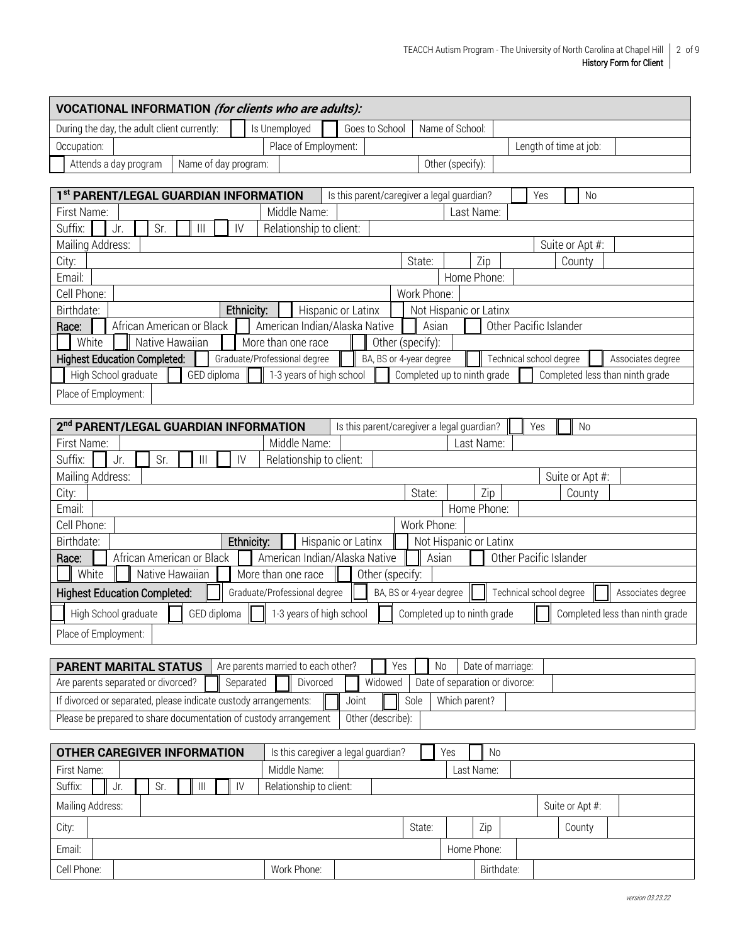| VOCATIONAL INFORMATION (for clients who are adults):                                                   |                                                                                            |  |  |  |  |  |  |  |  |  |  |
|--------------------------------------------------------------------------------------------------------|--------------------------------------------------------------------------------------------|--|--|--|--|--|--|--|--|--|--|
| Is Unemployed<br>During the day, the adult client currently:                                           | Goes to School<br>Name of School:                                                          |  |  |  |  |  |  |  |  |  |  |
| Occupation:                                                                                            | Place of Employment:<br>Length of time at job:                                             |  |  |  |  |  |  |  |  |  |  |
| Attends a day program<br>Name of day program:                                                          | Other (specify):                                                                           |  |  |  |  |  |  |  |  |  |  |
|                                                                                                        |                                                                                            |  |  |  |  |  |  |  |  |  |  |
| 1st PARENT/LEGAL GUARDIAN INFORMATION                                                                  | Is this parent/caregiver a legal guardian?<br>Yes<br><b>No</b>                             |  |  |  |  |  |  |  |  |  |  |
| Middle Name:<br>First Name:                                                                            | Last Name:                                                                                 |  |  |  |  |  |  |  |  |  |  |
| Suffix:<br>Jr.<br>Sr.<br>$\mathsf{IV}$<br>$\mathbf{III}$                                               | Relationship to client:                                                                    |  |  |  |  |  |  |  |  |  |  |
| Mailing Address:                                                                                       | Suite or Apt #:<br>Zip<br>State:                                                           |  |  |  |  |  |  |  |  |  |  |
| City:<br>Email:                                                                                        | County<br>Home Phone:                                                                      |  |  |  |  |  |  |  |  |  |  |
| Cell Phone:                                                                                            | Work Phone:                                                                                |  |  |  |  |  |  |  |  |  |  |
| Birthdate:<br>Ethnicity:                                                                               | Not Hispanic or Latinx<br>Hispanic or Latinx                                               |  |  |  |  |  |  |  |  |  |  |
| Other Pacific Islander<br>African American or Black<br>American Indian/Alaska Native<br>Asian<br>Race: |                                                                                            |  |  |  |  |  |  |  |  |  |  |
| White<br>Native Hawaiian<br>More than one race<br>Other (specify):                                     |                                                                                            |  |  |  |  |  |  |  |  |  |  |
| <b>Highest Education Completed:</b><br>Graduate/Professional degree                                    | BA, BS or 4-year degree<br>Technical school degree<br>Associates degree                    |  |  |  |  |  |  |  |  |  |  |
| High School graduate<br>GED diploma                                                                    | 1-3 years of high school<br>Completed up to ninth grade<br>Completed less than ninth grade |  |  |  |  |  |  |  |  |  |  |
| Place of Employment:                                                                                   |                                                                                            |  |  |  |  |  |  |  |  |  |  |
|                                                                                                        |                                                                                            |  |  |  |  |  |  |  |  |  |  |
| 2 <sup>nd</sup> PARENT/LEGAL GUARDIAN INFORMATION                                                      | Is this parent/caregiver a legal guardian?<br>Yes<br>No                                    |  |  |  |  |  |  |  |  |  |  |
| Middle Name:<br>First Name:                                                                            | Last Name:                                                                                 |  |  |  |  |  |  |  |  |  |  |
| Suffix:<br>Sr.<br>$\begin{array}{c} \hline \end{array}$<br>IV<br>Jr.                                   | Relationship to client:                                                                    |  |  |  |  |  |  |  |  |  |  |
| Mailing Address:                                                                                       | Suite or Apt #:                                                                            |  |  |  |  |  |  |  |  |  |  |
| City:<br>Email:                                                                                        | Zip<br>State:<br>County<br>Home Phone:                                                     |  |  |  |  |  |  |  |  |  |  |
| Cell Phone:                                                                                            | Work Phone:                                                                                |  |  |  |  |  |  |  |  |  |  |
| Ethnicity:<br>Birthdate:                                                                               | Hispanic or Latinx<br>Not Hispanic or Latinx                                               |  |  |  |  |  |  |  |  |  |  |
| African American or Black<br>Race:                                                                     | American Indian/Alaska Native<br>Other Pacific Islander<br>Asian                           |  |  |  |  |  |  |  |  |  |  |
| White<br>More than one race<br>Native Hawaiian                                                         | Other (specify:                                                                            |  |  |  |  |  |  |  |  |  |  |
| <b>Highest Education Completed:</b><br>Graduate/Professional degree                                    | BA, BS or 4-year degree<br>Technical school degree<br>Associates degree                    |  |  |  |  |  |  |  |  |  |  |
| GED diploma<br>High School graduate                                                                    | 1-3 years of high school<br>Completed up to ninth grade<br>Completed less than ninth grade |  |  |  |  |  |  |  |  |  |  |
| Place of Employment:                                                                                   |                                                                                            |  |  |  |  |  |  |  |  |  |  |
|                                                                                                        |                                                                                            |  |  |  |  |  |  |  |  |  |  |
| Are parents married to each other?<br><b>PARENT MARITAL STATUS</b>                                     | Date of marriage:<br>Yes<br>No                                                             |  |  |  |  |  |  |  |  |  |  |
| Are parents separated or divorced?<br>Separated                                                        | Widowed<br>Divorced<br>Date of separation or divorce:                                      |  |  |  |  |  |  |  |  |  |  |
| If divorced or separated, please indicate custody arrangements:                                        | Which parent?<br>Joint<br>Sole                                                             |  |  |  |  |  |  |  |  |  |  |
| Please be prepared to share documentation of custody arrangement                                       | Other (describe):                                                                          |  |  |  |  |  |  |  |  |  |  |
|                                                                                                        |                                                                                            |  |  |  |  |  |  |  |  |  |  |
| <b>OTHER CAREGIVER INFORMATION</b>                                                                     | Is this caregiver a legal guardian?<br>No<br>Yes                                           |  |  |  |  |  |  |  |  |  |  |
| Middle Name:<br>First Name:                                                                            | Last Name:                                                                                 |  |  |  |  |  |  |  |  |  |  |
| Sr.<br>$\  \ $<br>Suffix:<br>Jr.<br>$\mathsf{IV}$                                                      | Relationship to client:                                                                    |  |  |  |  |  |  |  |  |  |  |
| Mailing Address:                                                                                       | Suite or Apt #:                                                                            |  |  |  |  |  |  |  |  |  |  |
| City:                                                                                                  | Zip<br>State:<br>County                                                                    |  |  |  |  |  |  |  |  |  |  |
| Email:                                                                                                 | Home Phone:                                                                                |  |  |  |  |  |  |  |  |  |  |
| Cell Phone:<br>Work Phone:                                                                             | Birthdate:                                                                                 |  |  |  |  |  |  |  |  |  |  |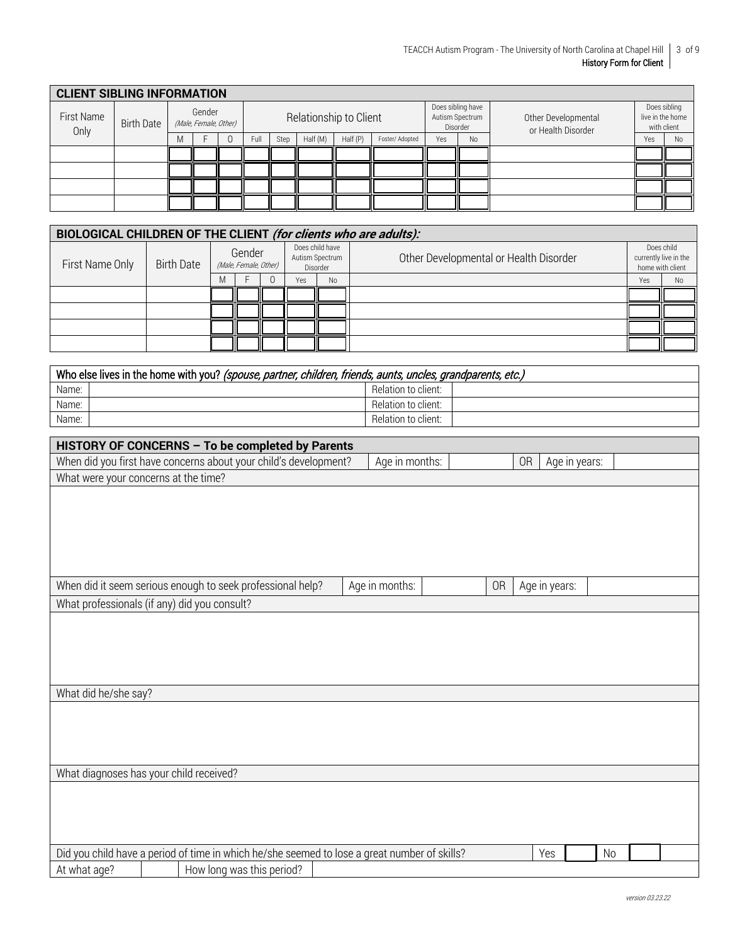|                    | <b>CLIENT SIBLING INFORMATION</b> |   |                                 |  |                        |      |          |          |                 |     |                                                  |                                           |                                                 |                |
|--------------------|-----------------------------------|---|---------------------------------|--|------------------------|------|----------|----------|-----------------|-----|--------------------------------------------------|-------------------------------------------|-------------------------------------------------|----------------|
| First Name<br>Only | <b>Birth Date</b>                 |   | Gender<br>(Male, Female, Other) |  | Relationship to Client |      |          |          |                 |     | Does sibling have<br>Autism Spectrum<br>Disorder | Other Developmental<br>or Health Disorder | Does sibling<br>live in the home<br>with client |                |
|                    |                                   | M |                                 |  | <b>Full</b>            | Step | Half (M) | Half (P) | Foster/ Adopted | Yes | N <sub>o</sub>                                   |                                           | Yes                                             | N <sub>o</sub> |
|                    |                                   |   |                                 |  |                        |      |          |          |                 |     |                                                  |                                           |                                                 |                |
|                    |                                   |   |                                 |  |                        |      |          |          |                 |     |                                                  |                                           |                                                 |                |
|                    |                                   |   |                                 |  |                        |      |          |          |                 |     |                                                  |                                           |                                                 |                |
|                    |                                   |   |                                 |  |                        |      |          |          |                 |     |                                                  |                                           |                                                 |                |

| BIOLOGICAL CHILDREN OF THE CLIENT (for clients who are adults): |            |   |                                 |  |     |                                                |                                        |     |                                                         |  |  |  |
|-----------------------------------------------------------------|------------|---|---------------------------------|--|-----|------------------------------------------------|----------------------------------------|-----|---------------------------------------------------------|--|--|--|
| First Name Only                                                 | Birth Date |   | Gender<br>(Male, Female, Other) |  |     | Does child have<br>Autism Spectrum<br>Disorder | Other Developmental or Health Disorder |     | Does child<br>currently live in the<br>home with client |  |  |  |
|                                                                 |            | M |                                 |  | Yes | No                                             |                                        | Yes | <b>No</b>                                               |  |  |  |
|                                                                 |            |   |                                 |  |     |                                                |                                        |     |                                                         |  |  |  |
|                                                                 |            |   |                                 |  |     |                                                |                                        |     |                                                         |  |  |  |
|                                                                 |            |   |                                 |  |     |                                                |                                        |     |                                                         |  |  |  |
|                                                                 |            |   |                                 |  |     |                                                |                                        |     |                                                         |  |  |  |

|       | Who else lives in the home with you? (spouse, partner, children, friends, aunts, uncles, grandparents, etc.) |                     |  |  |  |  |  |  |  |  |
|-------|--------------------------------------------------------------------------------------------------------------|---------------------|--|--|--|--|--|--|--|--|
| Name: |                                                                                                              | Relation to client: |  |  |  |  |  |  |  |  |
| Name: |                                                                                                              | Relation to client: |  |  |  |  |  |  |  |  |
| Name: |                                                                                                              | Relation to client: |  |  |  |  |  |  |  |  |

| HISTORY OF CONCERNS - To be completed by Parents |  |                                                                                              |  |                |  |    |               |               |           |  |
|--------------------------------------------------|--|----------------------------------------------------------------------------------------------|--|----------------|--|----|---------------|---------------|-----------|--|
|                                                  |  | When did you first have concerns about your child's development?                             |  | Age in months: |  |    | <b>OR</b>     | Age in years: |           |  |
| What were your concerns at the time?             |  |                                                                                              |  |                |  |    |               |               |           |  |
|                                                  |  |                                                                                              |  |                |  |    |               |               |           |  |
|                                                  |  |                                                                                              |  |                |  |    |               |               |           |  |
|                                                  |  |                                                                                              |  |                |  |    |               |               |           |  |
|                                                  |  |                                                                                              |  |                |  |    |               |               |           |  |
|                                                  |  |                                                                                              |  |                |  |    |               |               |           |  |
|                                                  |  | When did it seem serious enough to seek professional help?                                   |  | Age in months: |  | 0R | Age in years: |               |           |  |
| What professionals (if any) did you consult?     |  |                                                                                              |  |                |  |    |               |               |           |  |
|                                                  |  |                                                                                              |  |                |  |    |               |               |           |  |
|                                                  |  |                                                                                              |  |                |  |    |               |               |           |  |
|                                                  |  |                                                                                              |  |                |  |    |               |               |           |  |
|                                                  |  |                                                                                              |  |                |  |    |               |               |           |  |
| What did he/she say?                             |  |                                                                                              |  |                |  |    |               |               |           |  |
|                                                  |  |                                                                                              |  |                |  |    |               |               |           |  |
|                                                  |  |                                                                                              |  |                |  |    |               |               |           |  |
|                                                  |  |                                                                                              |  |                |  |    |               |               |           |  |
|                                                  |  |                                                                                              |  |                |  |    |               |               |           |  |
| What diagnoses has your child received?          |  |                                                                                              |  |                |  |    |               |               |           |  |
|                                                  |  |                                                                                              |  |                |  |    |               |               |           |  |
|                                                  |  |                                                                                              |  |                |  |    |               |               |           |  |
|                                                  |  |                                                                                              |  |                |  |    |               |               |           |  |
|                                                  |  | Did you child have a period of time in which he/she seemed to lose a great number of skills? |  |                |  |    | Yes           |               | <b>No</b> |  |
| At what age?                                     |  | How long was this period?                                                                    |  |                |  |    |               |               |           |  |

┑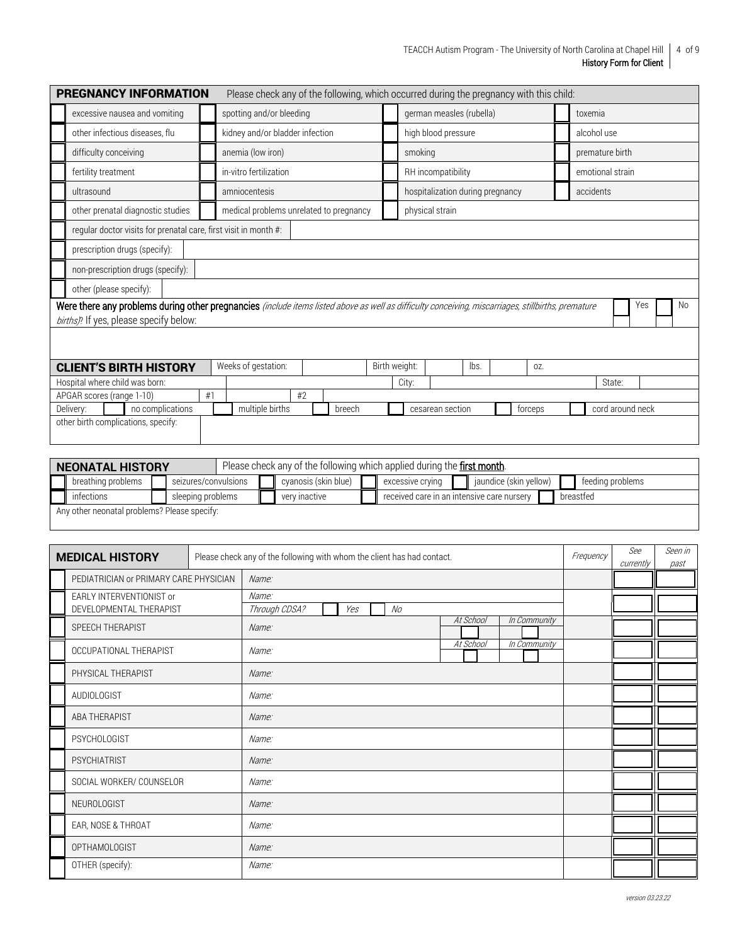| <b>PREGNANCY INFORMATION</b>                                                                                                                                                                  |    | Please check any of the following, which occurred during the pregnancy with this child: |                                 |        |  |                 |                                  |                     |  |         |                 |           |                  |     |  |           |
|-----------------------------------------------------------------------------------------------------------------------------------------------------------------------------------------------|----|-----------------------------------------------------------------------------------------|---------------------------------|--------|--|-----------------|----------------------------------|---------------------|--|---------|-----------------|-----------|------------------|-----|--|-----------|
| excessive nausea and vomiting                                                                                                                                                                 |    | spotting and/or bleeding                                                                |                                 |        |  |                 | german measles (rubella)         |                     |  |         |                 | toxemia   |                  |     |  |           |
| other infectious diseases, flu                                                                                                                                                                |    |                                                                                         | kidney and/or bladder infection |        |  |                 |                                  | high blood pressure |  |         |                 |           | alcohol use      |     |  |           |
| difficulty conceiving                                                                                                                                                                         |    | anemia (low iron)                                                                       |                                 |        |  | smoking         |                                  |                     |  |         | premature birth |           |                  |     |  |           |
| fertility treatment                                                                                                                                                                           |    | in-vitro fertilization                                                                  |                                 |        |  |                 | RH incompatibility               |                     |  |         |                 |           | emotional strain |     |  |           |
| ultrasound                                                                                                                                                                                    |    | amniocentesis                                                                           |                                 |        |  |                 | hospitalization during pregnancy |                     |  |         |                 | accidents |                  |     |  |           |
| other prenatal diagnostic studies                                                                                                                                                             |    | medical problems unrelated to pregnancy                                                 |                                 |        |  | physical strain |                                  |                     |  |         |                 |           |                  |     |  |           |
| regular doctor visits for prenatal care, first visit in month #:                                                                                                                              |    |                                                                                         |                                 |        |  |                 |                                  |                     |  |         |                 |           |                  |     |  |           |
| prescription drugs (specify):                                                                                                                                                                 |    |                                                                                         |                                 |        |  |                 |                                  |                     |  |         |                 |           |                  |     |  |           |
| non-prescription drugs (specify):                                                                                                                                                             |    |                                                                                         |                                 |        |  |                 |                                  |                     |  |         |                 |           |                  |     |  |           |
| other (please specify):                                                                                                                                                                       |    |                                                                                         |                                 |        |  |                 |                                  |                     |  |         |                 |           |                  |     |  |           |
| Were there any problems during other pregnancies (include items listed above as well as difficulty conceiving, miscarriages, stillbirths, premature<br>births)? If yes, please specify below: |    |                                                                                         |                                 |        |  |                 |                                  |                     |  |         |                 |           |                  | Yes |  | <b>No</b> |
|                                                                                                                                                                                               |    |                                                                                         |                                 |        |  |                 |                                  |                     |  |         |                 |           |                  |     |  |           |
| <b>CLIENT'S BIRTH HISTORY</b>                                                                                                                                                                 |    | Weeks of gestation:                                                                     |                                 |        |  | Birth weight:   |                                  | lbs.                |  | OZ.     |                 |           |                  |     |  |           |
| Hospital where child was born:                                                                                                                                                                |    |                                                                                         |                                 |        |  | City:           |                                  |                     |  |         |                 |           | State:           |     |  |           |
| APGAR scores (range 1-10)                                                                                                                                                                     | #1 | #2                                                                                      |                                 |        |  |                 |                                  |                     |  |         |                 |           |                  |     |  |           |
| no complications<br>Delivery:                                                                                                                                                                 |    | multiple births                                                                         |                                 | breech |  |                 | cesarean section                 |                     |  | forceps |                 |           | cord around neck |     |  |           |
| other birth complications, specify:                                                                                                                                                           |    |                                                                                         |                                 |        |  |                 |                                  |                     |  |         |                 |           |                  |     |  |           |
|                                                                                                                                                                                               |    |                                                                                         |                                 |        |  |                 |                                  |                     |  |         |                 |           |                  |     |  |           |

|                                            | <b>NEONATAL HISTORY</b>                      |  |                   |  | Please check any of the following which applied during the <b>first month</b> . |                      |  |                                                         |  |                        |  |                  |  |  |
|--------------------------------------------|----------------------------------------------|--|-------------------|--|---------------------------------------------------------------------------------|----------------------|--|---------------------------------------------------------|--|------------------------|--|------------------|--|--|
| breathing problems<br>seizures/convulsions |                                              |  |                   |  |                                                                                 | cvanosis (skin blue) |  | excessive crying                                        |  | jaundice (skin yellow) |  | feeding problems |  |  |
|                                            | infections                                   |  | sleeping problems |  |                                                                                 | very inactive        |  | received care in an intensive care nursery<br>breastfed |  |                        |  |                  |  |  |
|                                            | Any other neonatal problems? Please specify: |  |                   |  |                                                                                 |                      |  |                                                         |  |                        |  |                  |  |  |

| Please check any of the following with whom the client has had contact.<br><b>MEDICAL HISTORY</b> |  |                               |    |  |           |              |  |  |  | Seen in<br>past |
|---------------------------------------------------------------------------------------------------|--|-------------------------------|----|--|-----------|--------------|--|--|--|-----------------|
| PEDIATRICIAN or PRIMARY CARE PHYSICIAN                                                            |  | Name:                         |    |  |           |              |  |  |  |                 |
| EARLY INTERVENTIONIST or<br>DEVELOPMENTAL THERAPIST                                               |  | Name:<br>Through CDSA?<br>Yes | No |  |           |              |  |  |  |                 |
| SPEECH THERAPIST                                                                                  |  | Name:                         |    |  | At School | In Community |  |  |  |                 |
| OCCUPATIONAL THERAPIST                                                                            |  | Name:                         |    |  | At School | In Community |  |  |  |                 |
| PHYSICAL THERAPIST                                                                                |  | Name:                         |    |  |           |              |  |  |  |                 |
| <b>AUDIOLOGIST</b>                                                                                |  | Name:                         |    |  |           |              |  |  |  |                 |
| ABA THERAPIST                                                                                     |  | Name:                         |    |  |           |              |  |  |  |                 |
| <b>PSYCHOLOGIST</b>                                                                               |  | Name:                         |    |  |           |              |  |  |  |                 |
| PSYCHIATRIST                                                                                      |  | Name:                         |    |  |           |              |  |  |  |                 |
| SOCIAL WORKER/ COUNSELOR                                                                          |  | Name:                         |    |  |           |              |  |  |  |                 |
| NEUROLOGIST                                                                                       |  | Name:                         |    |  |           |              |  |  |  |                 |
| EAR, NOSE & THROAT                                                                                |  | Name:                         |    |  |           |              |  |  |  |                 |
| OPTHAMOLOGIST                                                                                     |  | Name:                         |    |  |           |              |  |  |  |                 |
| OTHER (specify):                                                                                  |  | Name:                         |    |  |           |              |  |  |  |                 |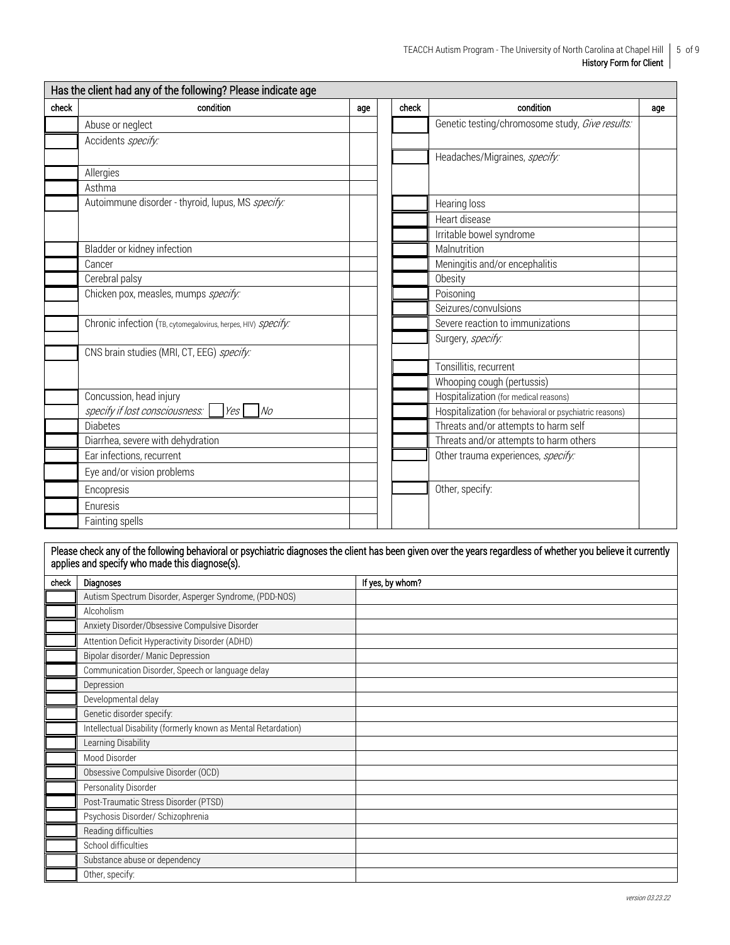| check | condition                                                     | age | check | condition                                               | age |
|-------|---------------------------------------------------------------|-----|-------|---------------------------------------------------------|-----|
|       | Abuse or neglect                                              |     |       | Genetic testing/chromosome study, Give results:         |     |
|       | Accidents specify:                                            |     |       |                                                         |     |
|       |                                                               |     |       | Headaches/Migraines, specify:                           |     |
|       | Allergies                                                     |     |       |                                                         |     |
|       | Asthma                                                        |     |       |                                                         |     |
|       | Autoimmune disorder - thyroid, lupus, MS specify:             |     |       | Hearing loss                                            |     |
|       |                                                               |     |       | Heart disease                                           |     |
|       |                                                               |     |       | Irritable bowel syndrome                                |     |
|       | Bladder or kidney infection                                   |     |       | Malnutrition                                            |     |
|       | Cancer                                                        |     |       | Meningitis and/or encephalitis                          |     |
|       | Cerebral palsy                                                |     |       | Obesity                                                 |     |
|       | Chicken pox, measles, mumps specify:                          |     |       | Poisoning                                               |     |
|       |                                                               |     |       | Seizures/convulsions                                    |     |
|       | Chronic infection (TB, cytomegalovirus, herpes, HIV) specify: |     |       | Severe reaction to immunizations                        |     |
|       |                                                               |     |       | Surgery, specify:                                       |     |
|       | CNS brain studies (MRI, CT, EEG) specify:                     |     |       |                                                         |     |
|       |                                                               |     |       | Tonsillitis, recurrent                                  |     |
|       |                                                               |     |       | Whooping cough (pertussis)                              |     |
|       | Concussion, head injury                                       |     |       | Hospitalization (for medical reasons)                   |     |
|       | specify if lost consciousness:<br>N <sub>O</sub><br>Yes       |     |       | Hospitalization (for behavioral or psychiatric reasons) |     |
|       | <b>Diabetes</b>                                               |     |       | Threats and/or attempts to harm self                    |     |
|       | Diarrhea, severe with dehydration                             |     |       | Threats and/or attempts to harm others                  |     |
|       | Ear infections, recurrent                                     |     |       | Other trauma experiences, specify:                      |     |
|       | Eye and/or vision problems                                    |     |       |                                                         |     |
|       | Encopresis                                                    |     |       | Other, specify:                                         |     |
|       | Enuresis                                                      |     |       |                                                         |     |
|       | Fainting spells                                               |     |       |                                                         |     |

Please check any of the following behavioral or psychiatric diagnoses the client has been given over the years regardless of whether you believe it currently applies and specify who made this diagnose(s).

| check | <b>Diagnoses</b>                                               | If yes, by whom? |
|-------|----------------------------------------------------------------|------------------|
|       | Autism Spectrum Disorder, Asperger Syndrome, (PDD-NOS)         |                  |
|       | Alcoholism                                                     |                  |
|       | Anxiety Disorder/Obsessive Compulsive Disorder                 |                  |
|       | Attention Deficit Hyperactivity Disorder (ADHD)                |                  |
|       | Bipolar disorder/ Manic Depression                             |                  |
|       | Communication Disorder, Speech or language delay               |                  |
|       | Depression                                                     |                  |
|       | Developmental delay                                            |                  |
|       | Genetic disorder specify:                                      |                  |
|       | Intellectual Disability (formerly known as Mental Retardation) |                  |
|       | Learning Disability                                            |                  |
|       | Mood Disorder                                                  |                  |
|       | Obsessive Compulsive Disorder (OCD)                            |                  |
|       | Personality Disorder                                           |                  |
|       | Post-Traumatic Stress Disorder (PTSD)                          |                  |
|       | Psychosis Disorder/ Schizophrenia                              |                  |
|       | Reading difficulties                                           |                  |
|       | School difficulties                                            |                  |
|       | Substance abuse or dependency                                  |                  |
|       | Other, specify:                                                |                  |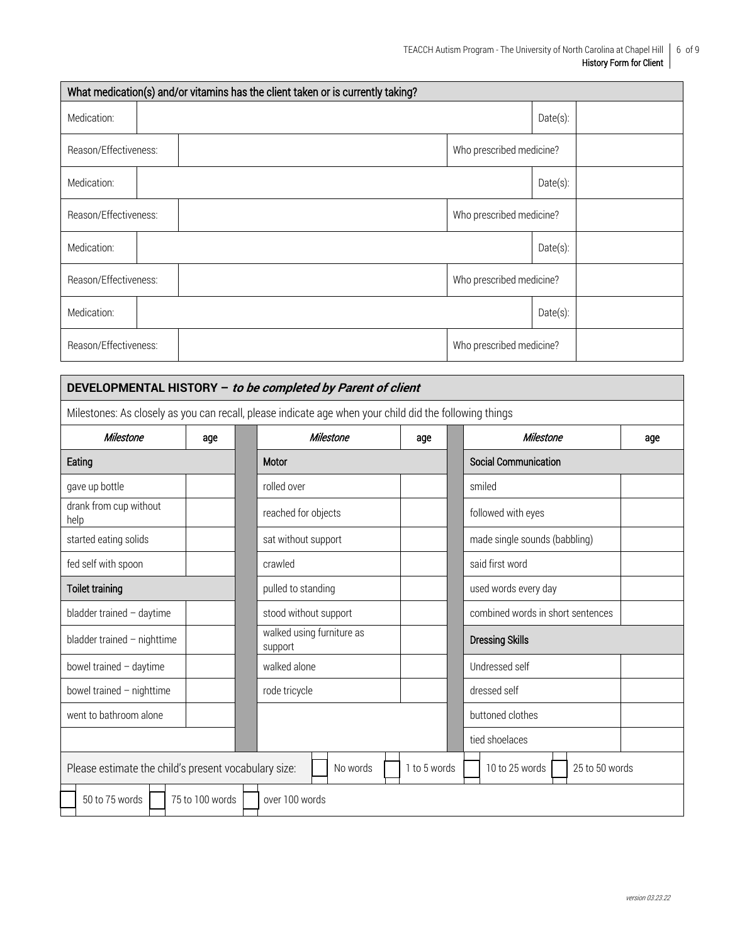| What medication(s) and/or vitamins has the client taken or is currently taking? |  |                          |             |  |  |  |  |  |  |
|---------------------------------------------------------------------------------|--|--------------------------|-------------|--|--|--|--|--|--|
| Medication:                                                                     |  |                          | Date(s):    |  |  |  |  |  |  |
| Reason/Effectiveness:                                                           |  | Who prescribed medicine? |             |  |  |  |  |  |  |
| Medication:                                                                     |  |                          | Date(s):    |  |  |  |  |  |  |
| Reason/Effectiveness:                                                           |  | Who prescribed medicine? |             |  |  |  |  |  |  |
| Medication:                                                                     |  |                          | $Date(s)$ : |  |  |  |  |  |  |
| Reason/Effectiveness:                                                           |  | Who prescribed medicine? |             |  |  |  |  |  |  |
| Medication:                                                                     |  |                          | $Date(s)$ : |  |  |  |  |  |  |
| Reason/Effectiveness:                                                           |  | Who prescribed medicine? |             |  |  |  |  |  |  |

## **DEVELOPMENTAL HISTORY – to be completed by Parent of client**

Milestones: As closely as you can recall, please indicate age when your child did the following things

| Milestone                                            | age             | Milestone                            | age                               |  | Milestone                        | age |  |  |  |  |
|------------------------------------------------------|-----------------|--------------------------------------|-----------------------------------|--|----------------------------------|-----|--|--|--|--|
| Eating                                               |                 | Motor                                |                                   |  | <b>Social Communication</b>      |     |  |  |  |  |
| gave up bottle                                       |                 | rolled over                          |                                   |  | smiled                           |     |  |  |  |  |
| drank from cup without<br>help                       |                 | reached for objects                  |                                   |  | followed with eyes               |     |  |  |  |  |
| started eating solids                                |                 | sat without support                  |                                   |  | made single sounds (babbling)    |     |  |  |  |  |
| fed self with spoon                                  |                 | crawled                              |                                   |  | said first word                  |     |  |  |  |  |
| Toilet training                                      |                 | pulled to standing                   |                                   |  | used words every day             |     |  |  |  |  |
| bladder trained - daytime                            |                 | stood without support                | combined words in short sentences |  |                                  |     |  |  |  |  |
| bladder trained $-$ nighttime                        |                 | walked using furniture as<br>support |                                   |  | <b>Dressing Skills</b>           |     |  |  |  |  |
| bowel trained - daytime                              |                 | walked alone                         |                                   |  | Undressed self                   |     |  |  |  |  |
| bowel trained - nighttime                            |                 | rode tricycle                        | dressed self                      |  |                                  |     |  |  |  |  |
| went to bathroom alone                               |                 |                                      |                                   |  | buttoned clothes                 |     |  |  |  |  |
|                                                      |                 |                                      |                                   |  | tied shoelaces                   |     |  |  |  |  |
| Please estimate the child's present vocabulary size: |                 | No words                             | 1 to 5 words                      |  | 10 to 25 words<br>25 to 50 words |     |  |  |  |  |
| 50 to 75 words                                       | 75 to 100 words | over 100 words                       |                                   |  |                                  |     |  |  |  |  |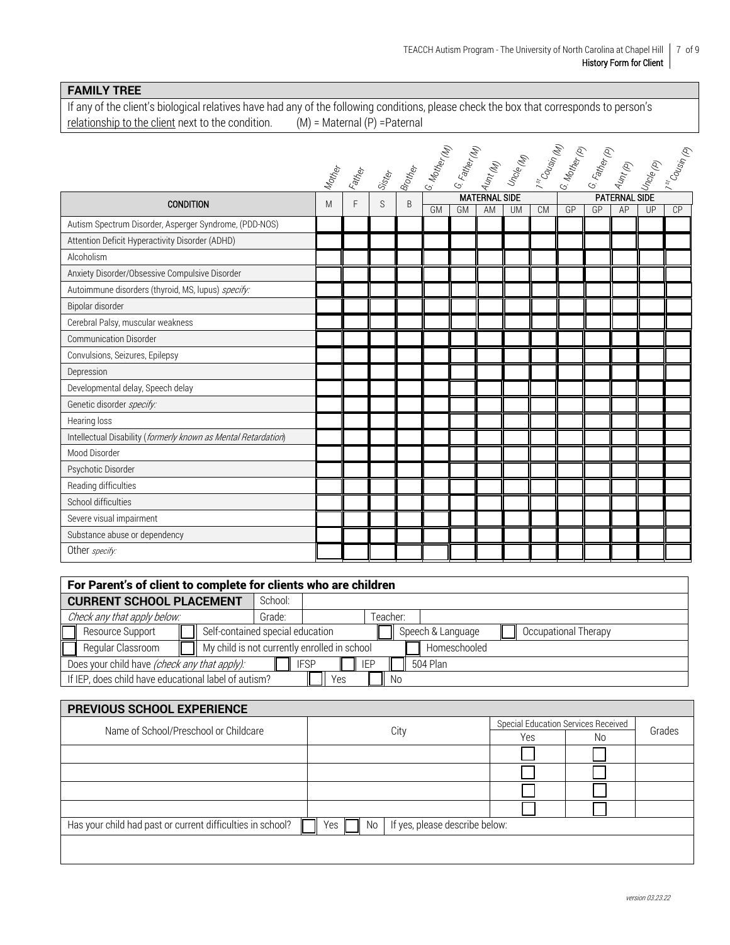## **FAMILY TREE**

If any of the client's biological relatives have had any of the following conditions, please check the box that corresponds to person's relationship to the client next to the condition. (M) = Maternal (P) =Paternal relationship to the client next to the condition.

|                                                                |        |   |   |   | Tather day of the Capture of the Capture of the Capture of the Capture of the Capture of Capture of Capture of Capture of Capture of Capture of Capture of Capture of Capture of Capture of Capture of Capture of Capture of C |    |                            |           |           |    |    |                            |    |    |
|----------------------------------------------------------------|--------|---|---|---|--------------------------------------------------------------------------------------------------------------------------------------------------------------------------------------------------------------------------------|----|----------------------------|-----------|-----------|----|----|----------------------------|----|----|
|                                                                |        |   |   |   |                                                                                                                                                                                                                                |    |                            |           |           |    |    |                            |    |    |
|                                                                | Mother |   |   |   |                                                                                                                                                                                                                                |    |                            |           |           |    |    |                            |    |    |
| <b>CONDITION</b>                                               | M      | F | S | B | GM                                                                                                                                                                                                                             | GM | <b>MATERNAL SIDE</b><br>AM | <b>UM</b> | <b>CM</b> | GP | GP | <b>PATERNAL SIDE</b><br>AP | UP | CP |
| Autism Spectrum Disorder, Asperger Syndrome, (PDD-NOS)         |        |   |   |   |                                                                                                                                                                                                                                |    |                            |           |           |    |    |                            |    |    |
| Attention Deficit Hyperactivity Disorder (ADHD)                |        |   |   |   |                                                                                                                                                                                                                                |    |                            |           |           |    |    |                            |    |    |
| Alcoholism                                                     |        |   |   |   |                                                                                                                                                                                                                                |    |                            |           |           |    |    |                            |    |    |
| Anxiety Disorder/Obsessive Compulsive Disorder                 |        |   |   |   |                                                                                                                                                                                                                                |    |                            |           |           |    |    |                            |    |    |
| Autoimmune disorders (thyroid, MS, lupus) specify:             |        |   |   |   |                                                                                                                                                                                                                                |    |                            |           |           |    |    |                            |    |    |
| Bipolar disorder                                               |        |   |   |   |                                                                                                                                                                                                                                |    |                            |           |           |    |    |                            |    |    |
| Cerebral Palsy, muscular weakness                              |        |   |   |   |                                                                                                                                                                                                                                |    |                            |           |           |    |    |                            |    |    |
| <b>Communication Disorder</b>                                  |        |   |   |   |                                                                                                                                                                                                                                |    |                            |           |           |    |    |                            |    |    |
| Convulsions, Seizures, Epilepsy                                |        |   |   |   |                                                                                                                                                                                                                                |    |                            |           |           |    |    |                            |    |    |
| Depression                                                     |        |   |   |   |                                                                                                                                                                                                                                |    |                            |           |           |    |    |                            |    |    |
| Developmental delay, Speech delay                              |        |   |   |   |                                                                                                                                                                                                                                |    |                            |           |           |    |    |                            |    |    |
| Genetic disorder specify:                                      |        |   |   |   |                                                                                                                                                                                                                                |    |                            |           |           |    |    |                            |    |    |
| Hearing loss                                                   |        |   |   |   |                                                                                                                                                                                                                                |    |                            |           |           |    |    |                            |    |    |
| Intellectual Disability (formerly known as Mental Retardation) |        |   |   |   |                                                                                                                                                                                                                                |    |                            |           |           |    |    |                            |    |    |
| Mood Disorder                                                  |        |   |   |   |                                                                                                                                                                                                                                |    |                            |           |           |    |    |                            |    |    |
| Psychotic Disorder                                             |        |   |   |   |                                                                                                                                                                                                                                |    |                            |           |           |    |    |                            |    |    |
| Reading difficulties                                           |        |   |   |   |                                                                                                                                                                                                                                |    |                            |           |           |    |    |                            |    |    |
| School difficulties                                            |        |   |   |   |                                                                                                                                                                                                                                |    |                            |           |           |    |    |                            |    |    |
| Severe visual impairment                                       |        |   |   |   |                                                                                                                                                                                                                                |    |                            |           |           |    |    |                            |    |    |
| Substance abuse or dependency                                  |        |   |   |   |                                                                                                                                                                                                                                |    |                            |           |           |    |    |                            |    |    |
| Other specify:                                                 |        |   |   |   |                                                                                                                                                                                                                                |    |                            |           |           |    |    |                            |    |    |

| For Parent's of client to complete for clients who are children                |                                              |  |          |                   |                      |  |  |  |  |  |
|--------------------------------------------------------------------------------|----------------------------------------------|--|----------|-------------------|----------------------|--|--|--|--|--|
| <b>CURRENT SCHOOL PLACEMENT</b>                                                | School:                                      |  |          |                   |                      |  |  |  |  |  |
| Check any that apply below:                                                    | Grade:                                       |  | Teacher: |                   |                      |  |  |  |  |  |
| Resource Support                                                               | Self-contained special education             |  |          | Speech & Language | Occupational Therapy |  |  |  |  |  |
| Regular Classroom                                                              | My child is not currently enrolled in school |  |          | Homeschooled      |                      |  |  |  |  |  |
| Does your child have (check any that apply):<br>IEP<br>504 Plan<br><b>IFSP</b> |                                              |  |          |                   |                      |  |  |  |  |  |
| If IEP, does child have educational label of autism?<br>Yes<br>N0              |                                              |  |          |                   |                      |  |  |  |  |  |

| <b>PREVIOUS SCHOOL EXPERIENCE</b>                          |                                             |     |                                     |        |  |  |  |  |  |
|------------------------------------------------------------|---------------------------------------------|-----|-------------------------------------|--------|--|--|--|--|--|
| Name of School/Preschool or Childcare                      |                                             |     | Special Education Services Received |        |  |  |  |  |  |
|                                                            | City                                        | Yes | No                                  | Grades |  |  |  |  |  |
|                                                            |                                             |     |                                     |        |  |  |  |  |  |
|                                                            |                                             |     |                                     |        |  |  |  |  |  |
|                                                            |                                             |     |                                     |        |  |  |  |  |  |
|                                                            |                                             |     |                                     |        |  |  |  |  |  |
| Has your child had past or current difficulties in school? | If yes, please describe below:<br>No<br>Yes |     |                                     |        |  |  |  |  |  |
|                                                            |                                             |     |                                     |        |  |  |  |  |  |
|                                                            |                                             |     |                                     |        |  |  |  |  |  |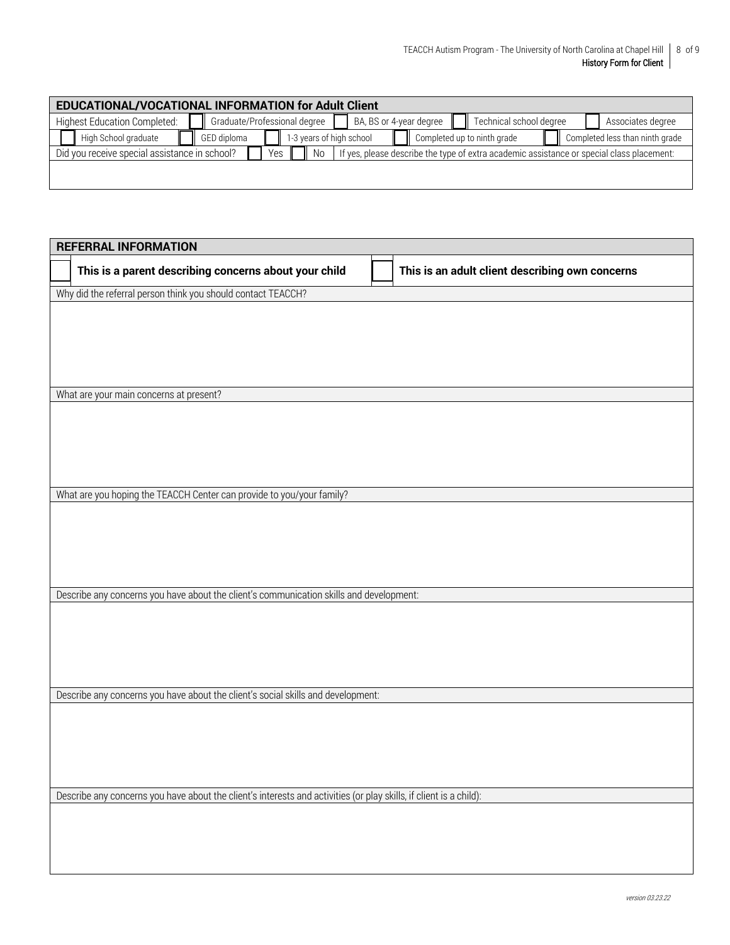| EDUCATIONAL/VOCATIONAL INFORMATION for Adult Client |                                     |  |             |  |                              |  |                         |  |  |  |                             |  |  |                                                                                           |  |  |
|-----------------------------------------------------|-------------------------------------|--|-------------|--|------------------------------|--|-------------------------|--|--|--|-----------------------------|--|--|-------------------------------------------------------------------------------------------|--|--|
|                                                     | <b>Highest Education Completed:</b> |  |             |  | Graduate/Professional degree |  | BA, BS or 4-year degree |  |  |  | Technical school degree     |  |  | Associates degree                                                                         |  |  |
|                                                     | High School graduate                |  | GED diploma |  | 1-3 years of high school     |  |                         |  |  |  | Completed up to ninth grade |  |  | Completed less than ninth grade                                                           |  |  |
| Did you receive special assistance in school?       |                                     |  |             |  | Yes<br>.No                   |  |                         |  |  |  |                             |  |  | If yes, please describe the type of extra academic assistance or special class placement: |  |  |
|                                                     |                                     |  |             |  |                              |  |                         |  |  |  |                             |  |  |                                                                                           |  |  |

| <b>REFERRAL INFORMATION</b>                                                                                        |                                                 |
|--------------------------------------------------------------------------------------------------------------------|-------------------------------------------------|
| This is a parent describing concerns about your child                                                              | This is an adult client describing own concerns |
| Why did the referral person think you should contact TEACCH?                                                       |                                                 |
|                                                                                                                    |                                                 |
|                                                                                                                    |                                                 |
|                                                                                                                    |                                                 |
|                                                                                                                    |                                                 |
|                                                                                                                    |                                                 |
| What are your main concerns at present?                                                                            |                                                 |
|                                                                                                                    |                                                 |
|                                                                                                                    |                                                 |
|                                                                                                                    |                                                 |
|                                                                                                                    |                                                 |
| What are you hoping the TEACCH Center can provide to you/your family?                                              |                                                 |
|                                                                                                                    |                                                 |
|                                                                                                                    |                                                 |
|                                                                                                                    |                                                 |
|                                                                                                                    |                                                 |
|                                                                                                                    |                                                 |
| Describe any concerns you have about the client's communication skills and development:                            |                                                 |
|                                                                                                                    |                                                 |
|                                                                                                                    |                                                 |
|                                                                                                                    |                                                 |
|                                                                                                                    |                                                 |
| Describe any concerns you have about the client's social skills and development:                                   |                                                 |
|                                                                                                                    |                                                 |
|                                                                                                                    |                                                 |
|                                                                                                                    |                                                 |
|                                                                                                                    |                                                 |
|                                                                                                                    |                                                 |
| Describe any concerns you have about the client's interests and activities (or play skills, if client is a child): |                                                 |
|                                                                                                                    |                                                 |
|                                                                                                                    |                                                 |
|                                                                                                                    |                                                 |